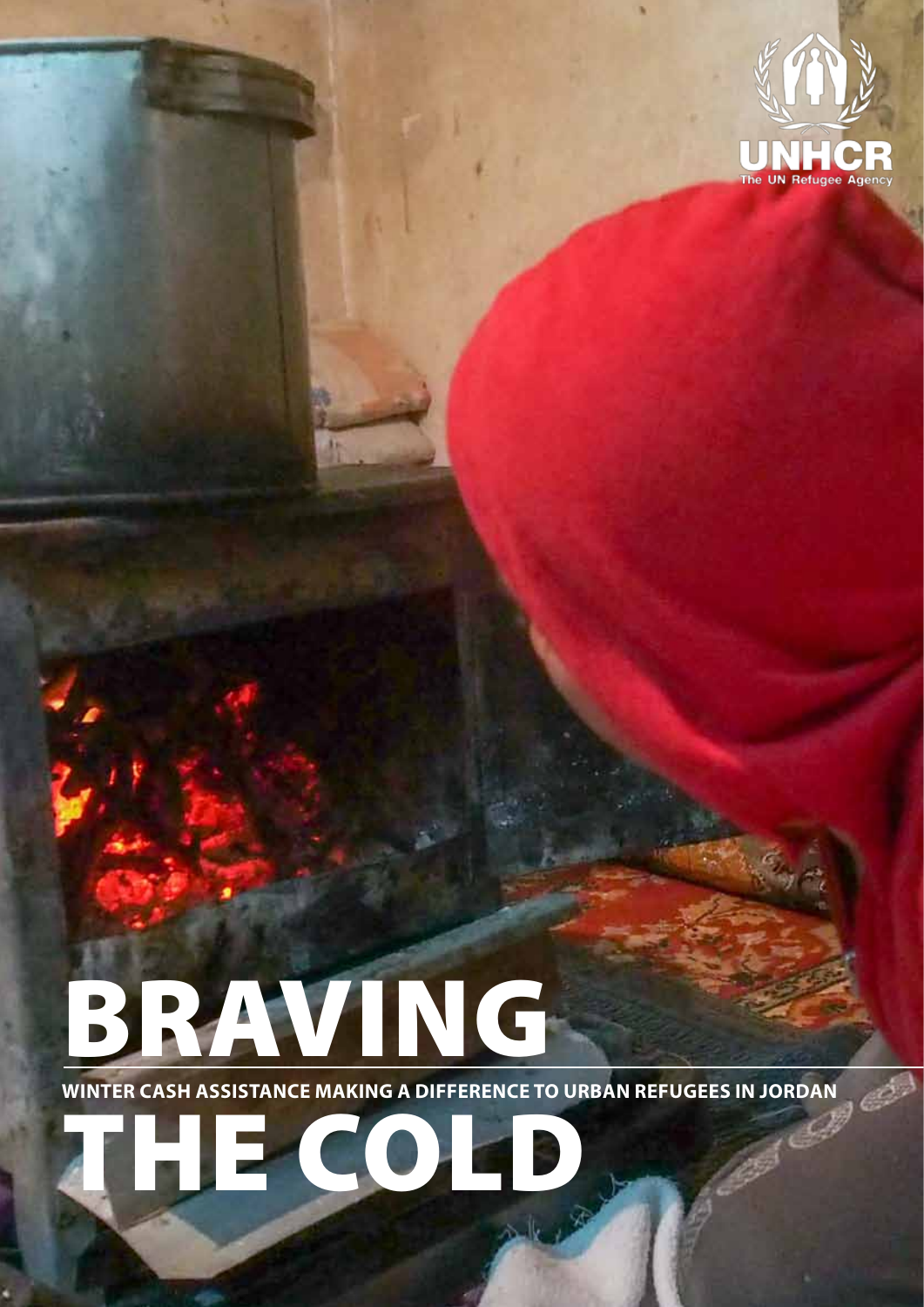

# BRAVING

**Winter cash assistance making a difference to urban refugees in Jordan** the cold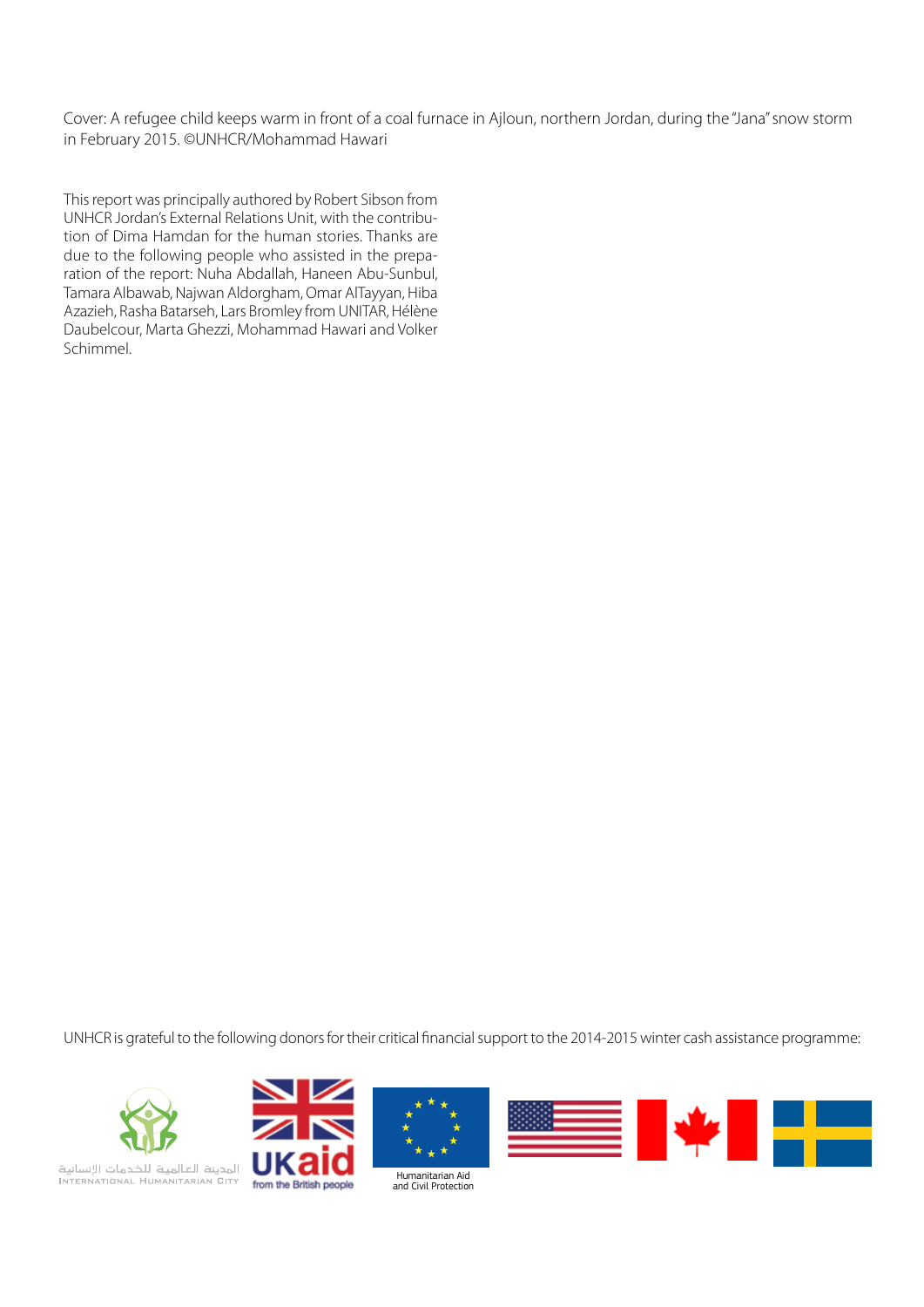Cover: A refugee child keeps warm in front of a coal furnace in Ajloun, northern Jordan, during the "Jana" snow storm in February 2015. ©UNHCR/Mohammad Hawari

This report was principally authored by Robert Sibson from UNHCR Jordan's External Relations Unit, with the contribution of Dima Hamdan for the human stories. Thanks are due to the following people who assisted in the preparation of the report: Nuha Abdallah, Haneen Abu-Sunbul, Tamara Albawab, Najwan Aldorgham, Omar AlTayyan, Hiba Azazieh, Rasha Batarseh, Lars Bromley from UNITAR, Hélène Daubelcour, Marta Ghezzi, Mohammad Hawari and Volker Schimmel.

UNHCR is grateful to the following donors for their critical financial support to the 2014-2015 winter cash assistance programme:









المدينة العالمية للخدمات الإنسانية<br>INTERNATIONAL HUMANITARIAN BITY from the British people

Humanitarian Aid and Civil Protection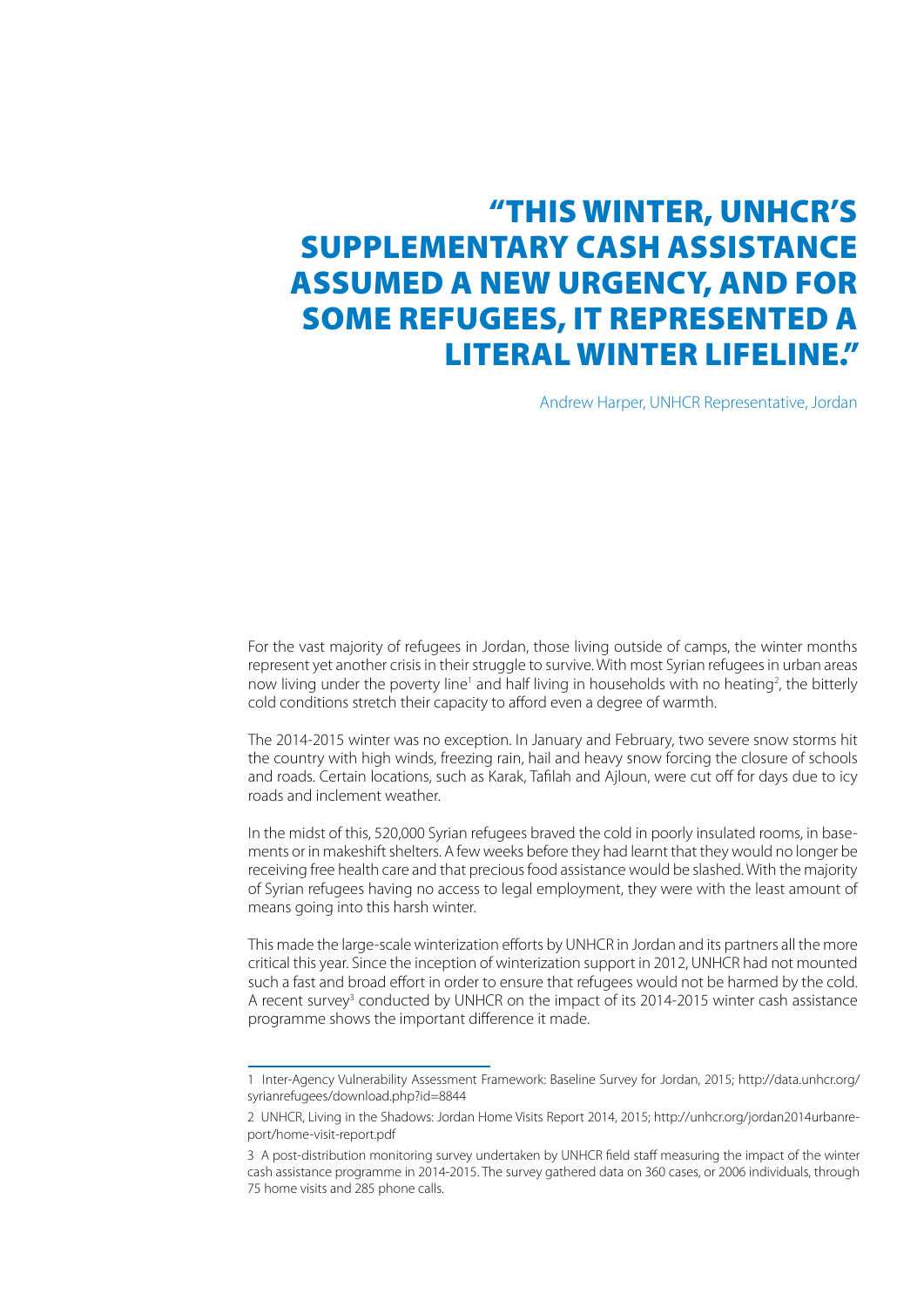#### "This winter, UNHCR's supplementary cash assistance assumed a new urgency, and for some refugees, it represented a literal winter lifeline."

Andrew Harper, UNHCR Representative, Jordan

For the vast majority of refugees in Jordan, those living outside of camps, the winter months represent yet another crisis in their struggle to survive. With most Syrian refugees in urban areas now living under the poverty line<sup>1</sup> and half living in households with no heating<sup>2</sup>, the bitterly cold conditions stretch their capacity to afford even a degree of warmth.

The 2014-2015 winter was no exception. In January and February, two severe snow storms hit the country with high winds, freezing rain, hail and heavy snow forcing the closure of schools and roads. Certain locations, such as Karak, Tafilah and Ajloun, were cut off for days due to icy roads and inclement weather.

In the midst of this, 520,000 Syrian refugees braved the cold in poorly insulated rooms, in basements or in makeshift shelters. A few weeks before they had learnt that they would no longer be receiving free health care and that precious food assistance would be slashed. With the majority of Syrian refugees having no access to legal employment, they were with the least amount of means going into this harsh winter.

This made the large-scale winterization efforts by UNHCR in Jordan and its partners all the more critical this year. Since the inception of winterization support in 2012, UNHCR had not mounted such a fast and broad effort in order to ensure that refugees would not be harmed by the cold. A recent survey<sup>3</sup> conducted by UNHCR on the impact of its 2014-2015 winter cash assistance programme shows the important difference it made.

<sup>1</sup> Inter-Agency Vulnerability Assessment Framework: Baseline Survey for Jordan, 2015; http://data.unhcr.org/ syrianrefugees/download.php?id=8844

<sup>2</sup> UNHCR, Living in the Shadows: Jordan Home Visits Report 2014, 2015; http://unhcr.org/jordan2014urbanreport/home-visit-report.pdf

<sup>3</sup> A post-distribution monitoring survey undertaken by UNHCR field staff measuring the impact of the winter cash assistance programme in 2014-2015. The survey gathered data on 360 cases, or 2006 individuals, through 75 home visits and 285 phone calls.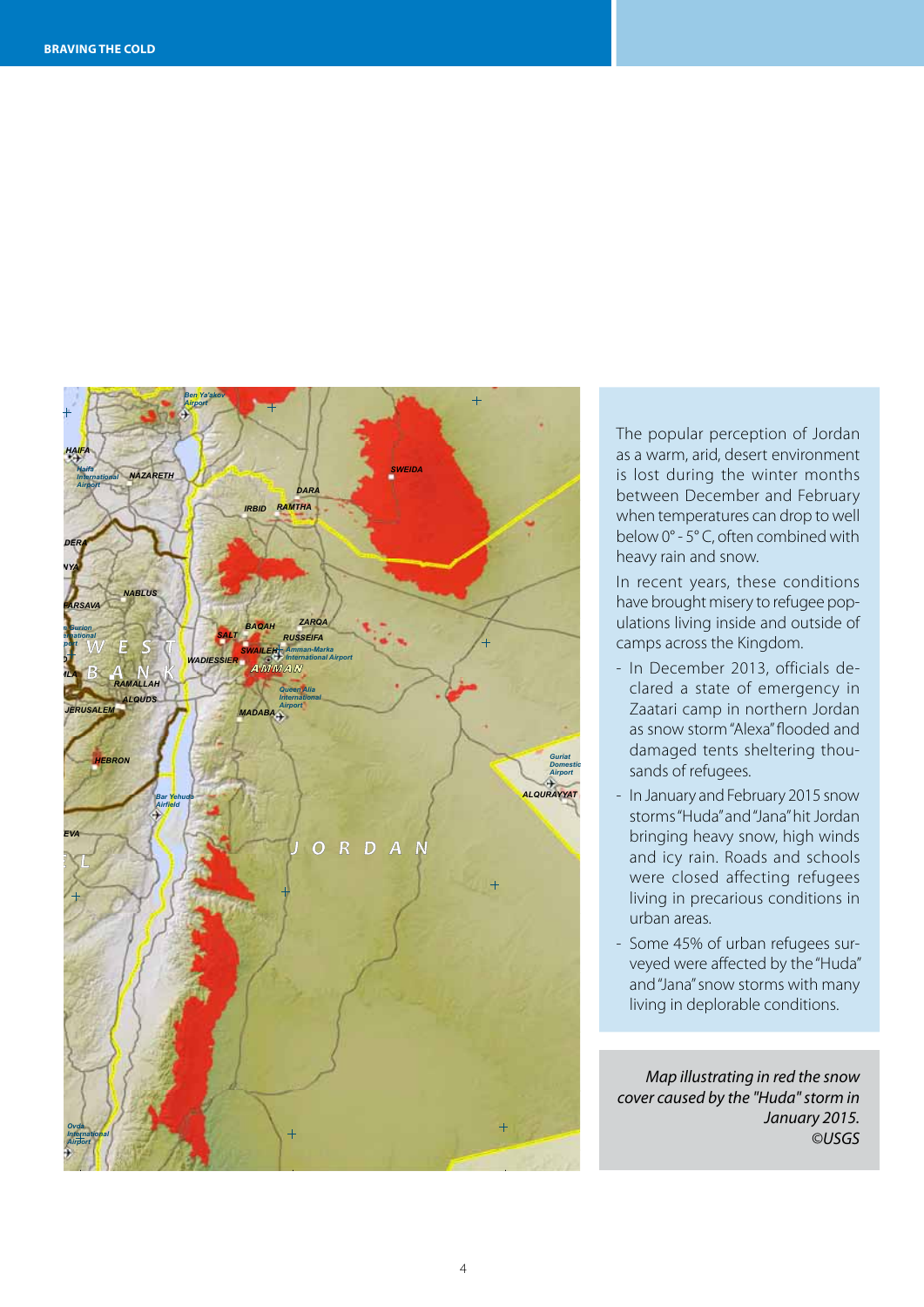

The popular perception of Jordan !I *Main Airport* as a warm, arid, desert environment between December and February below 0° - 5° C, often combined with is lost during the winter months when temperatures can drop to well heavy rain and snow.

In recent years, these conditions have brought misery to refugee popcamps across the Kingdom. ulations living inside and outside of

- as snow storm "Alexa" flooded and<br>damaged tents sheltering thou-*Satellite Data (1): MODIS Imagery Dates: 13 January 2015* sands of refugees. *Map Scale for A3: 1:1,500,000* as snow storm "Alexa" flooded and - In December 2013, officials de-Zaatari camp in northern Jordan
- *Resolution: 250 m Copyright: NASA Satellite Data (2): MODIS* In January and February 2015 snow *Imagery Dates: 12 January 2015 Resolution: 250 m* storms "Huda" and "Jana" hit Jordan *Copyright: NASA Elevation Data: Shuttle Radar Topography Mission* bringing heavy snow, high winds and icy rain. Roads and schools were closed affecting refugees *Producted in precarious conditions in Coordinate System: WGS 1984 UTM Zone 36N Projection: Transverse Mercator* urban areas.
- Some 45% of urban refugees surveyed were affected by the "Huda" *to be error-free nor do they imply official endorsement or acceptance by the United Nations. UNOSAT is a* and "Jana" snow storms with many *program of the United Nations Institute for Training and Research (UNITAR), providing satellite imagery and related geographic information, research and* living in deplorable conditions.

*Map illustrating in red the snow cover caused by the "Huda" storm in January 2015. ©USGS*

*This work by UNITAR/UNOSAT is licensed under a*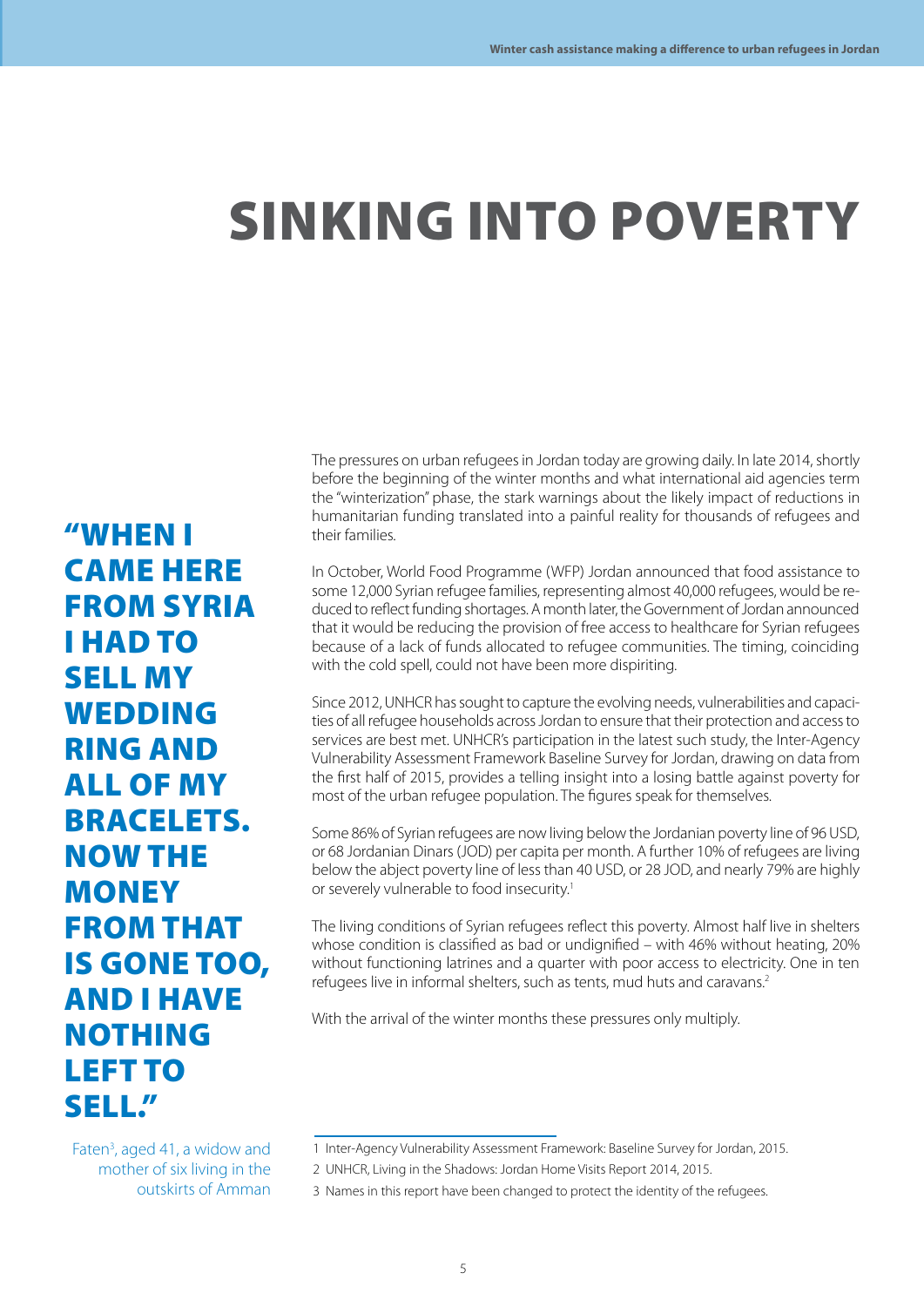# sinking into poverty

The pressures on urban refugees in Jordan today are growing daily. In late 2014, shortly before the beginning of the winter months and what international aid agencies term the "winterization" phase, the stark warnings about the likely impact of reductions in humanitarian funding translated into a painful reality for thousands of refugees and their families.

In October, World Food Programme (WFP) Jordan announced that food assistance to some 12,000 Syrian refugee families, representing almost 40,000 refugees, would be reduced to reflect funding shortages. A month later, the Government of Jordan announced that it would be reducing the provision of free access to healthcare for Syrian refugees because of a lack of funds allocated to refugee communities. The timing, coinciding with the cold spell, could not have been more dispiriting.

Since 2012, UNHCR has sought to capture the evolving needs, vulnerabilities and capacities of all refugee households across Jordan to ensure that their protection and access to services are best met. UNHCR's participation in the latest such study, the Inter-Agency Vulnerability Assessment Framework Baseline Survey for Jordan, drawing on data from the first half of 2015, provides a telling insight into a losing battle against poverty for most of the urban refugee population. The figures speak for themselves.

Some 86% of Syrian refugees are now living below the Jordanian poverty line of 96 USD, or 68 Jordanian Dinars (JOD) per capita per month. A further 10% of refugees are living below the abject poverty line of less than 40 USD, or 28 JOD, and nearly 79% are highly or severely vulnerable to food insecurity.1

The living conditions of Syrian refugees reflect this poverty. Almost half live in shelters whose condition is classified as bad or undignified – with 46% without heating, 20% without functioning latrines and a quarter with poor access to electricity. One in ten refugees live in informal shelters, such as tents, mud huts and caravans.<sup>2</sup>

With the arrival of the winter months these pressures only multiply.

"When I came here **FROM SYRIA** I had to sell my **WEDDING** ring and all of my bracelets. Now the **MONEY FROM THAT** is gone too, and I have **NOTHING** left to sell."

Faten<sup>3</sup>, aged 41, a widow and mother of six living in the outskirts of Amman

<sup>1</sup> Inter-Agency Vulnerability Assessment Framework: Baseline Survey for Jordan, 2015.

<sup>2</sup> UNHCR, Living in the Shadows: Jordan Home Visits Report 2014, 2015.

<sup>3</sup> Names in this report have been changed to protect the identity of the refugees.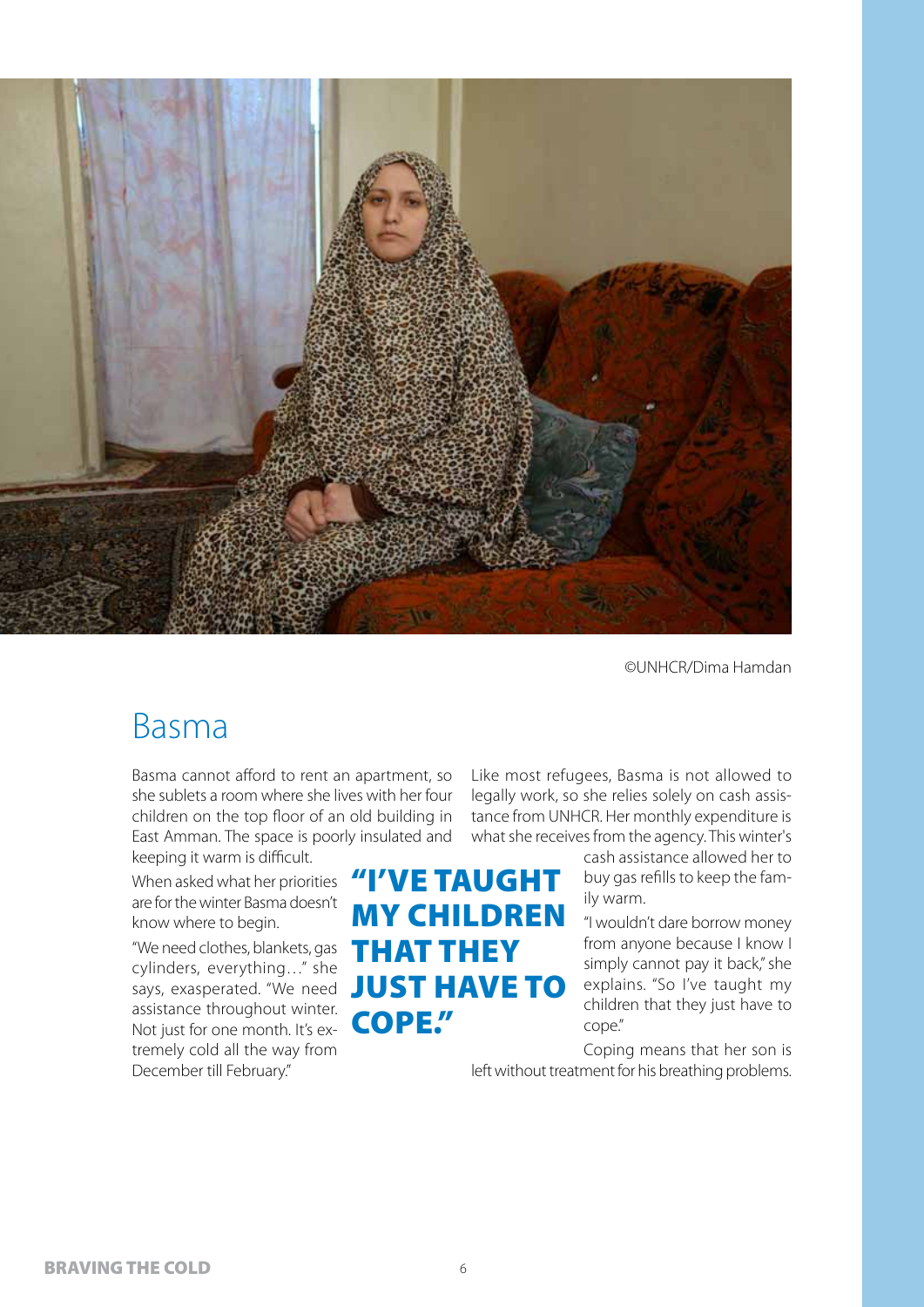

#### Basma

Basma cannot afford to rent an apartment, so she sublets a room where she lives with her four children on the top floor of an old building in East Amman. The space is poorly insulated and keeping it warm is difficult.

When asked what her priorities are for the winter Basma doesn't know where to begin.

"We need clothes, blankets, gas<br>cylinders, evenything " she cylinders, everything…" she assistance throughout winter. Not just for one month. It's extremely cold all the way from December till February."

## says, exasperated. "We need JUST HAVE TO "I've taught my children cope."

Like most refugees, Basma is not allowed to legally work, so she relies solely on cash assistance from UNHCR. Her monthly expenditure is what she receives from the agency. This winter's

> cash assistance allowed her to buy gas refills to keep the family warm.

> "I wouldn't dare borrow money from anyone because I know I simply cannot pay it back," she explains. "So I've taught my children that they just have to cope."

Coping means that her son is left without treatment for his breathing problems.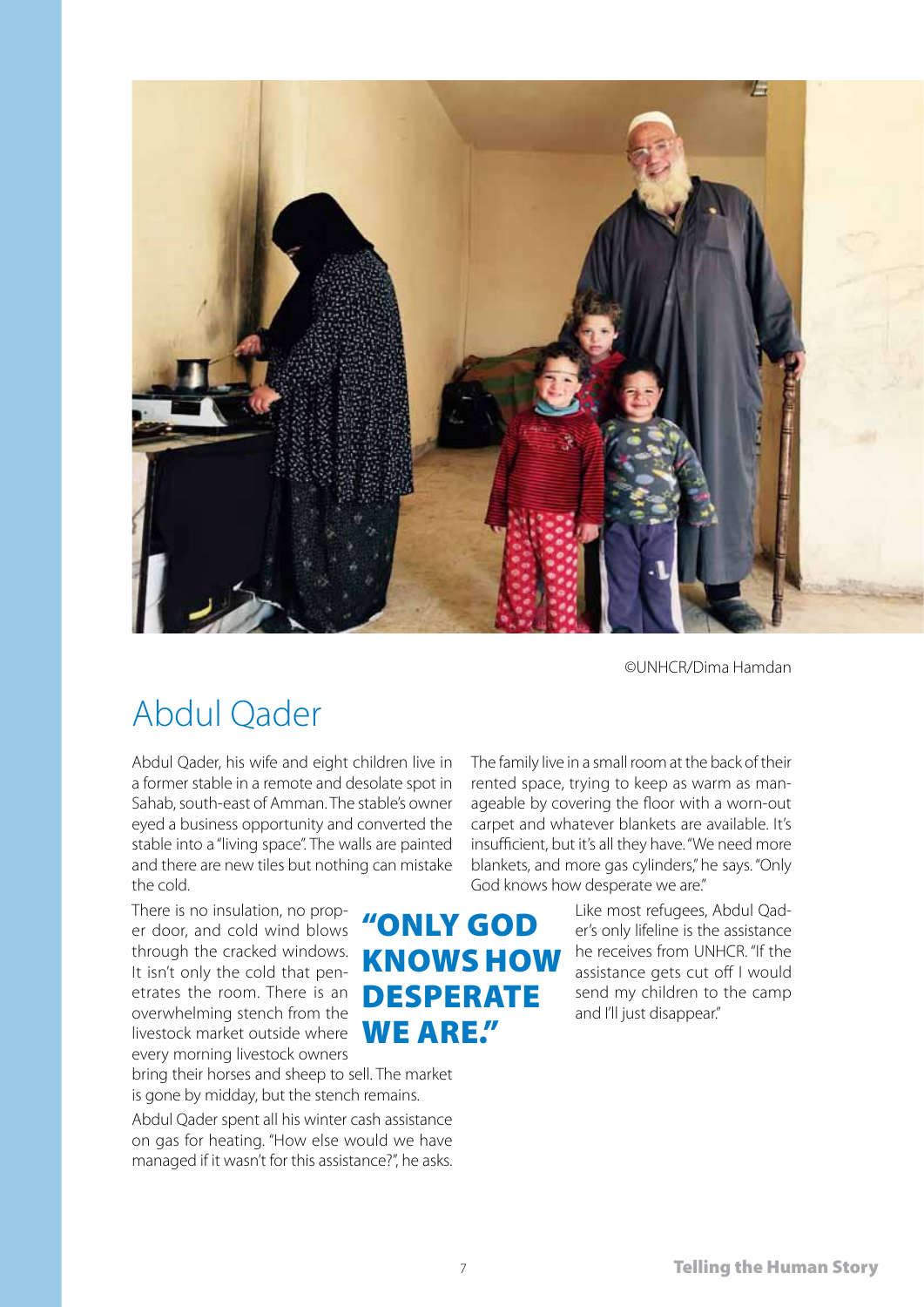

## Abdul Qader

Abdul Qader, his wife and eight children live in a former stable in a remote and desolate spot in Sahab, south-east of Amman. The stable's owner eyed a business opportunity and converted the stable into a "living space". The walls are painted and there are new tiles but nothing can mistake the cold.

There is no insulation, no proper door, and cold wind blows through the cracked windows. It isn't only the cold that penetrates the room. There is an overwhelming stench from the livestock market outside where WE ARE." every morning livestock owners

bring their horses and sheep to sell. The market is gone by midday, but the stench remains.

Abdul Qader spent all his winter cash assistance on gas for heating. "How else would we have managed if it wasn't for this assistance?", he asks. The family live in a small room at the back of their rented space, trying to keep as warm as manageable by covering the floor with a worn-out carpet and whatever blankets are available. It's insufficient, but it's all they have. "We need more blankets, and more gas cylinders," he says. "Only God knows how desperate we are."

## "only god knows how **DESPERATE**

Like most refugees, Abdul Qader's only lifeline is the assistance he receives from UNHCR. "If the assistance gets cut off I would send my children to the camp and I'll just disappear."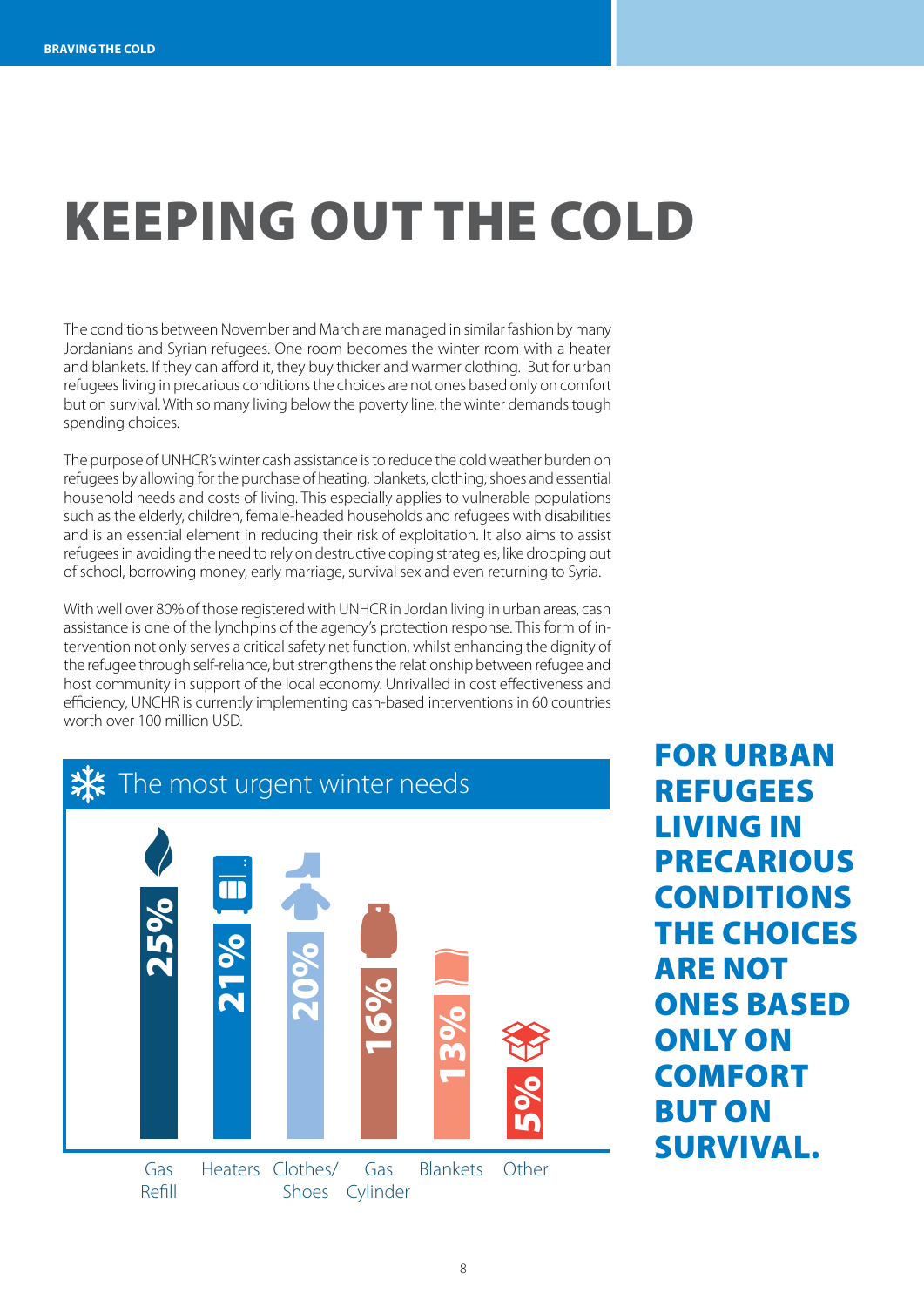# Keeping out the cold

The conditions between November and March are managed in similar fashion by many Jordanians and Syrian refugees. One room becomes the winter room with a heater and blankets. If they can afford it, they buy thicker and warmer clothing. But for urban refugees living in precarious conditions the choices are not ones based only on comfort but on survival. With so many living below the poverty line, the winter demands tough spending choices.

The purpose of UNHCR's winter cash assistance is to reduce the cold weather burden on refugees by allowing for the purchase of heating, blankets, clothing, shoes and essential household needs and costs of living. This especially applies to vulnerable populations such as the elderly, children, female-headed households and refugees with disabilities and is an essential element in reducing their risk of exploitation. It also aims to assist refugees in avoiding the need to rely on destructive coping strategies, like dropping out of school, borrowing money, early marriage, survival sex and even returning to Syria.

With well over 80% of those registered with UNHCR in Jordan living in urban areas, cash assistance is one of the lynchpins of the agency's protection response. This form of intervention not only serves a critical safety net function, whilst enhancing the dignity of the refugee through self-reliance, but strengthens the relationship between refugee and host community in support of the local economy. Unrivalled in cost effectiveness and efficiency, UNCHR is currently implementing cash-based interventions in 60 countries worth over 100 million USD.



**FOR URBAN REFUGEES** living in **PRECARIOUS CONDITIONS** the choices **ARE NOT ONES BASED** only on **COMFORT BUT ON** survival.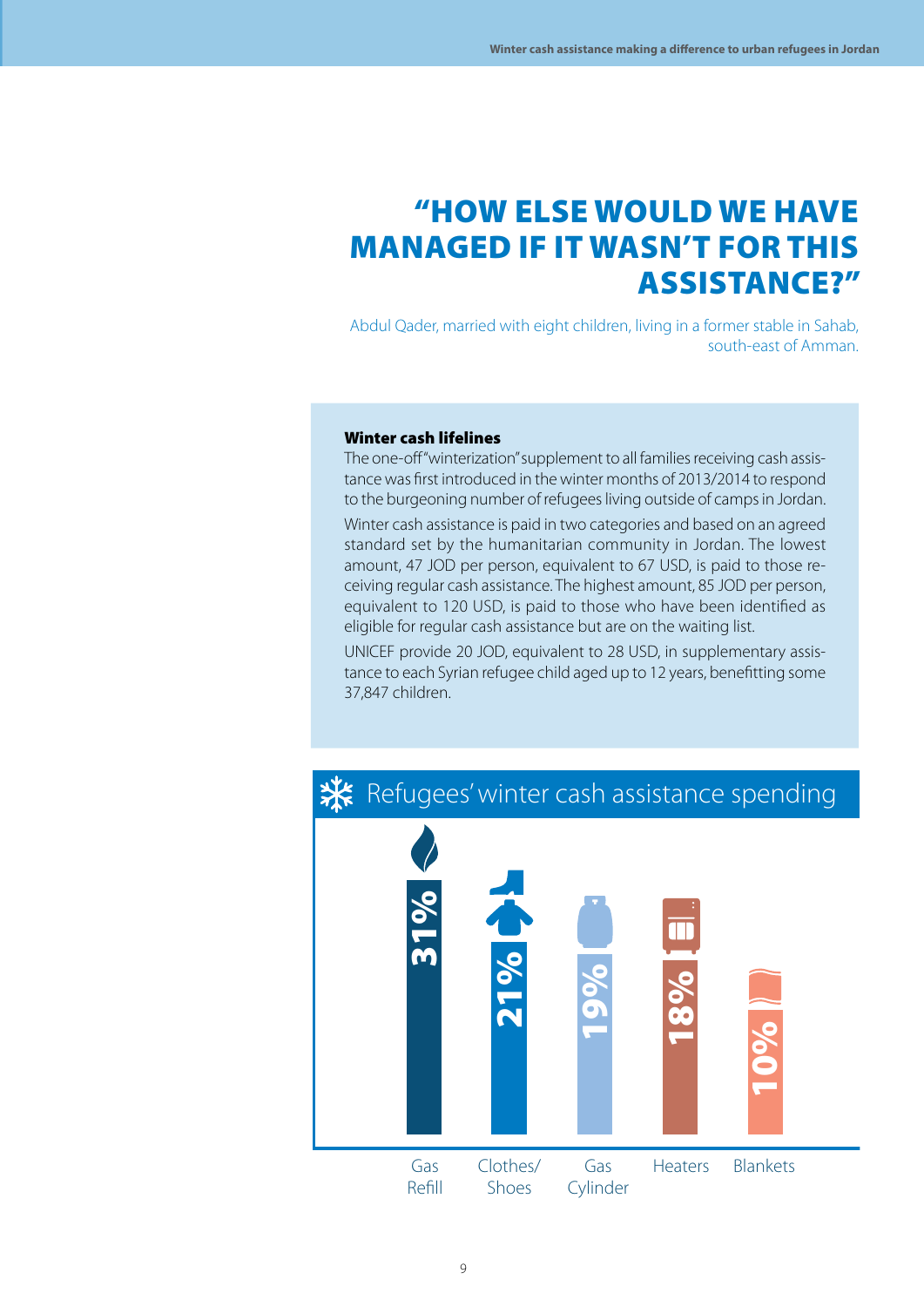#### "How else would we have managed if it wasn't for this assistance?"

Abdul Qader, married with eight children, living in a former stable in Sahab, south-east of Amman.

#### Winter cash lifelines

The one-off "winterization" supplement to all families receiving cash assistance was first introduced in the winter months of 2013/2014 to respond to the burgeoning number of refugees living outside of camps in Jordan. Winter cash assistance is paid in two categories and based on an agreed standard set by the humanitarian community in Jordan. The lowest amount, 47 JOD per person, equivalent to 67 USD, is paid to those receiving regular cash assistance. The highest amount, 85 JOD per person, equivalent to 120 USD, is paid to those who have been identified as eligible for regular cash assistance but are on the waiting list.

UNICEF provide 20 JOD, equivalent to 28 USD, in supplementary assistance to each Syrian refugee child aged up to 12 years, benefitting some 37,847 children.



#### **X** Refugees' winter cash assistance spending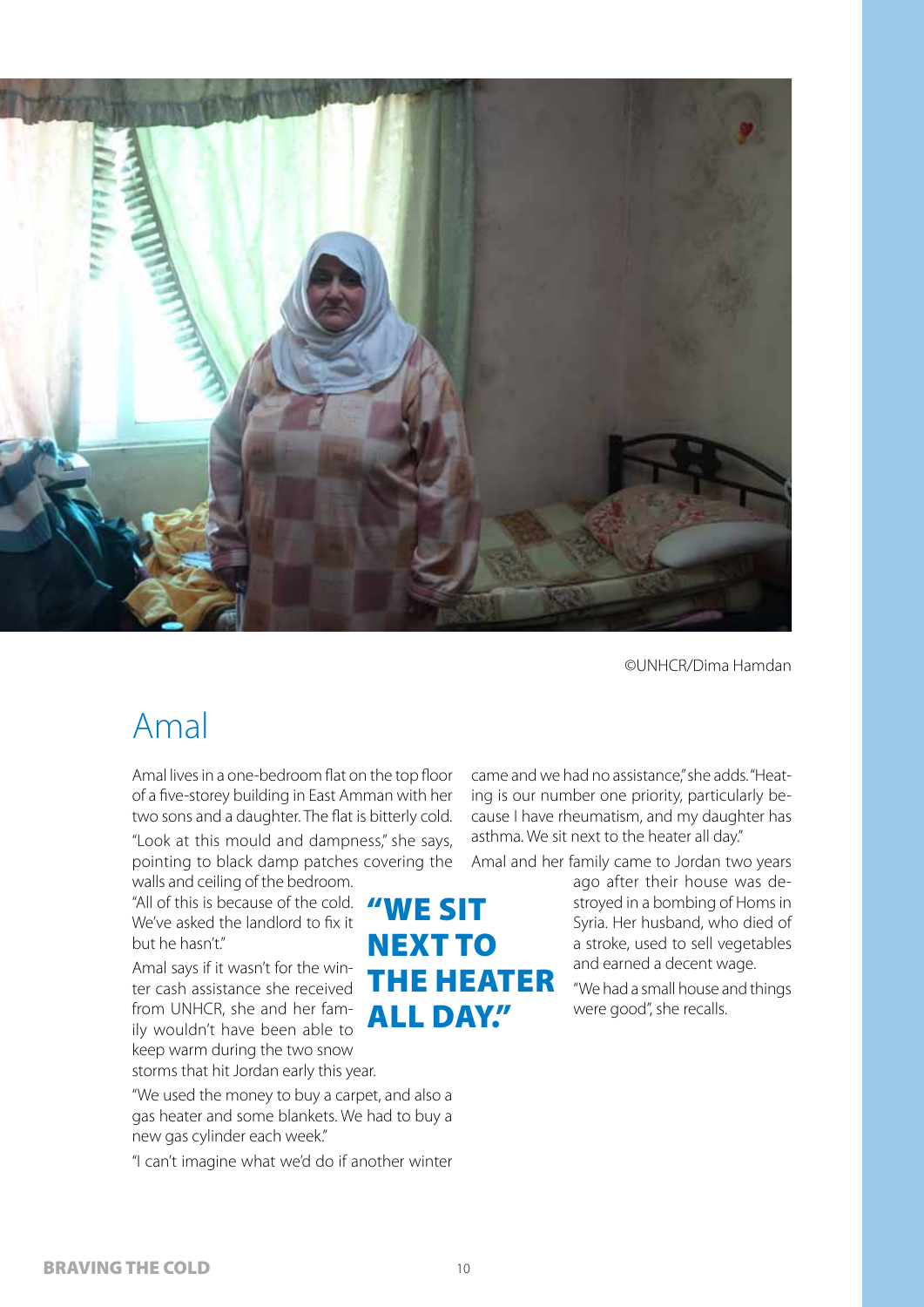

#### Amal

Amal lives in a one-bedroom flat on the top floor of a five-storey building in East Amman with her two sons and a daughter. The flat is bitterly cold.

"Look at this mould and dampness," she says, pointing to black damp patches covering the walls and ceiling of the bedroom.

"All of this is because of the cold.  $\sqrt{W}$   $\mathsf{E}$   $\mathsf{S}$   $\mathsf{I}$  . We've asked the landlord to fix it but he hasn't."

Amal says if it wasn't for the winter cash assistance she received from UNHCR, she and her family wouldn't have been able to keep warm during the two snow

storms that hit Jordan early this year.

"We used the money to buy a carpet, and also a gas heater and some blankets. We had to buy a new gas cylinder each week."

"I can't imagine what we'd do if another winter

came and we had no assistance," she adds. "Heating is our number one priority, particularly because I have rheumatism, and my daughter has asthma. We sit next to the heater all day."

Amal and her family came to Jordan two years

ago after their house was destroyed in a bombing of Homs in Syria. Her husband, who died of a stroke, used to sell vegetables and earned a decent wage.

"We had a small house and things were good", she recalls.

**NEXT TO** 

**ALL DAY."** 

the heater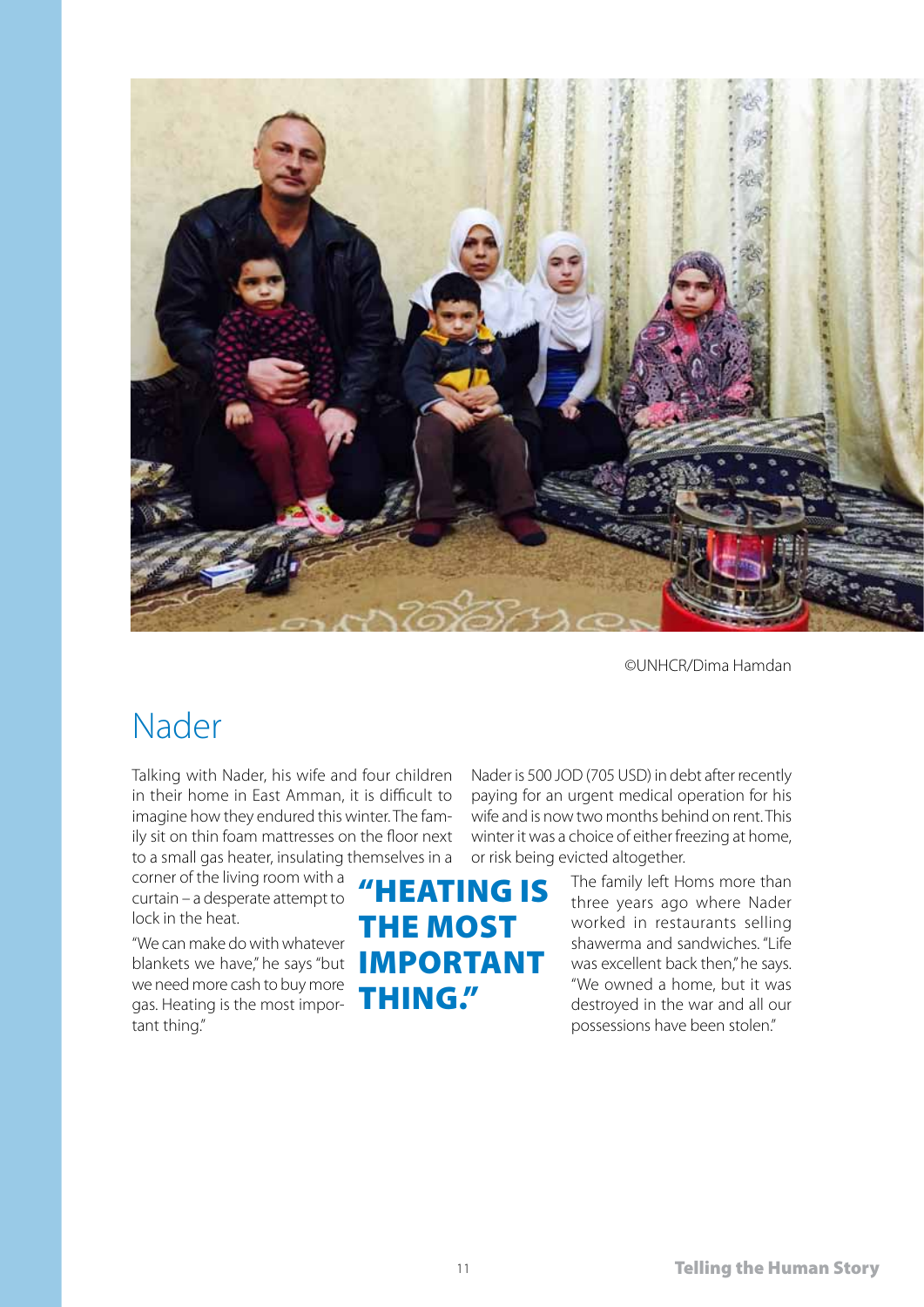

#### Nader

Talking with Nader, his wife and four children in their home in East Amman, it is difficult to imagine how they endured this winter. The family sit on thin foam mattresses on the floor next to a small gas heater, insulating themselves in a

corner of the living room with a curtain – a desperate attempt to lock in the heat.

"We can make do with whatever blankets we have," he says "but **IMPORTANT** we need more cash to buy more gas. Heating is the most important thing."

Nader is 500 JOD (705 USD) in debt after recently paying for an urgent medical operation for his wife and is now two months behind on rent. This winter it was a choice of either freezing at home, or risk being evicted altogether.

"Heating is the most thing."

The family left Homs more than three years ago where Nader worked in restaurants selling shawerma and sandwiches. "Life was excellent back then," he says. "We owned a home, but it was destroyed in the war and all our possessions have been stolen."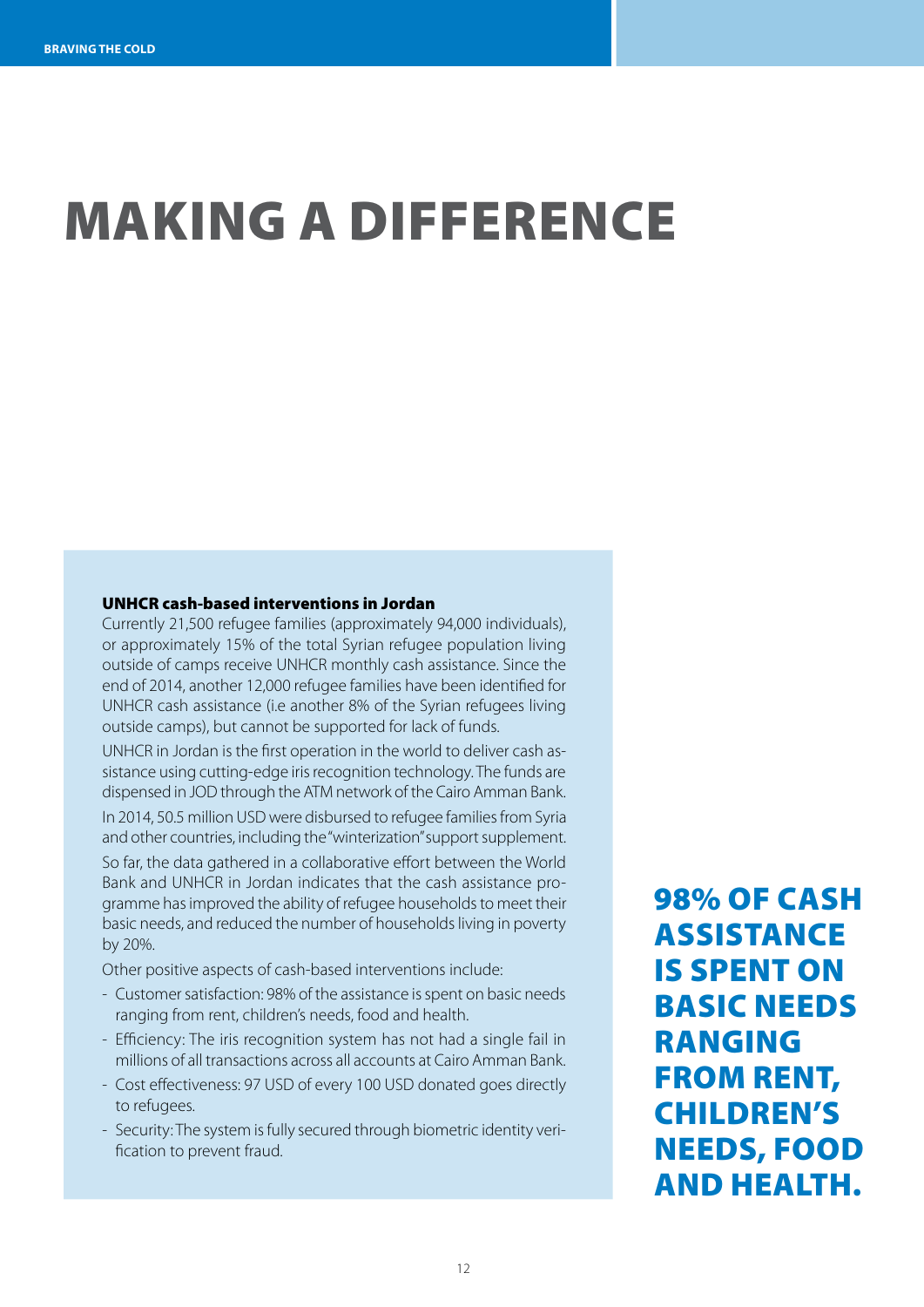# making a difference

#### UNHCR cash-based interventions in Jordan

Currently 21,500 refugee families (approximately 94,000 individuals), or approximately 15% of the total Syrian refugee population living outside of camps receive UNHCR monthly cash assistance. Since the end of 2014, another 12,000 refugee families have been identified for UNHCR cash assistance (i.e another 8% of the Syrian refugees living outside camps), but cannot be supported for lack of funds.

UNHCR in Jordan is the first operation in the world to deliver cash assistance using cutting-edge iris recognition technology. The funds are dispensed in JOD through the ATM network of the Cairo Amman Bank. In 2014, 50.5 million USD were disbursed to refugee families from Syria and other countries, including the "winterization" support supplement. So far, the data gathered in a collaborative effort between the World Bank and UNHCR in Jordan indicates that the cash assistance programme has improved the ability of refugee households to meet their basic needs, and reduced the number of households living in poverty by 20%.

Other positive aspects of cash-based interventions include:

- Customer satisfaction: 98% of the assistance is spent on basic needs ranging from rent, children's needs, food and health.
- Efficiency: The iris recognition system has not had a single fail in millions of all transactions across all accounts at Cairo Amman Bank.
- Cost effectiveness: 97 USD of every 100 USD donated goes directly to refugees.
- Security: The system is fully secured through biometric identity verification to prevent fraud.

98% of cash assistance is spent on basic needs ranging from rent, children's needs, food and health.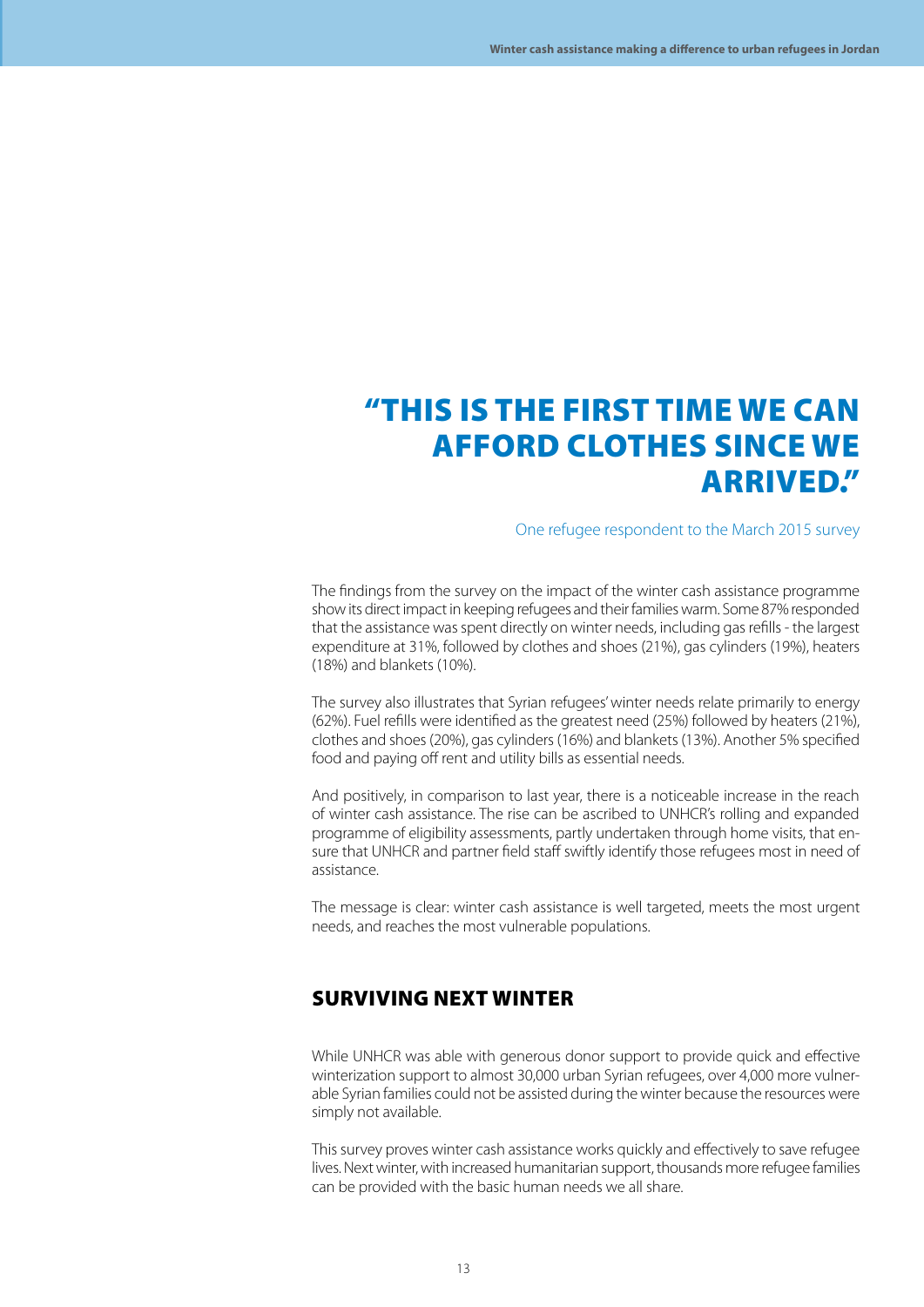#### "This is the first time we can AFFORD CLOTHES SINCE WE ARRIVED."

#### One refugee respondent to the March 2015 survey

The findings from the survey on the impact of the winter cash assistance programme show its direct impact in keeping refugees and their families warm. Some 87% responded that the assistance was spent directly on winter needs, including gas refills - the largest expenditure at 31%, followed by clothes and shoes (21%), gas cylinders (19%), heaters (18%) and blankets (10%).

The survey also illustrates that Syrian refugees' winter needs relate primarily to energy (62%). Fuel refills were identified as the greatest need (25%) followed by heaters (21%), clothes and shoes (20%), gas cylinders (16%) and blankets (13%). Another 5% specified food and paying off rent and utility bills as essential needs.

And positively, in comparison to last year, there is a noticeable increase in the reach of winter cash assistance. The rise can be ascribed to UNHCR's rolling and expanded programme of eligibility assessments, partly undertaken through home visits, that ensure that UNHCR and partner field staff swiftly identify those refugees most in need of assistance.

The message is clear: winter cash assistance is well targeted, meets the most urgent needs, and reaches the most vulnerable populations.

#### surviving next winter

While UNHCR was able with generous donor support to provide quick and effective winterization support to almost 30,000 urban Syrian refugees, over 4,000 more vulnerable Syrian families could not be assisted during the winter because the resources were simply not available.

This survey proves winter cash assistance works quickly and effectively to save refugee lives. Next winter, with increased humanitarian support, thousands more refugee families can be provided with the basic human needs we all share.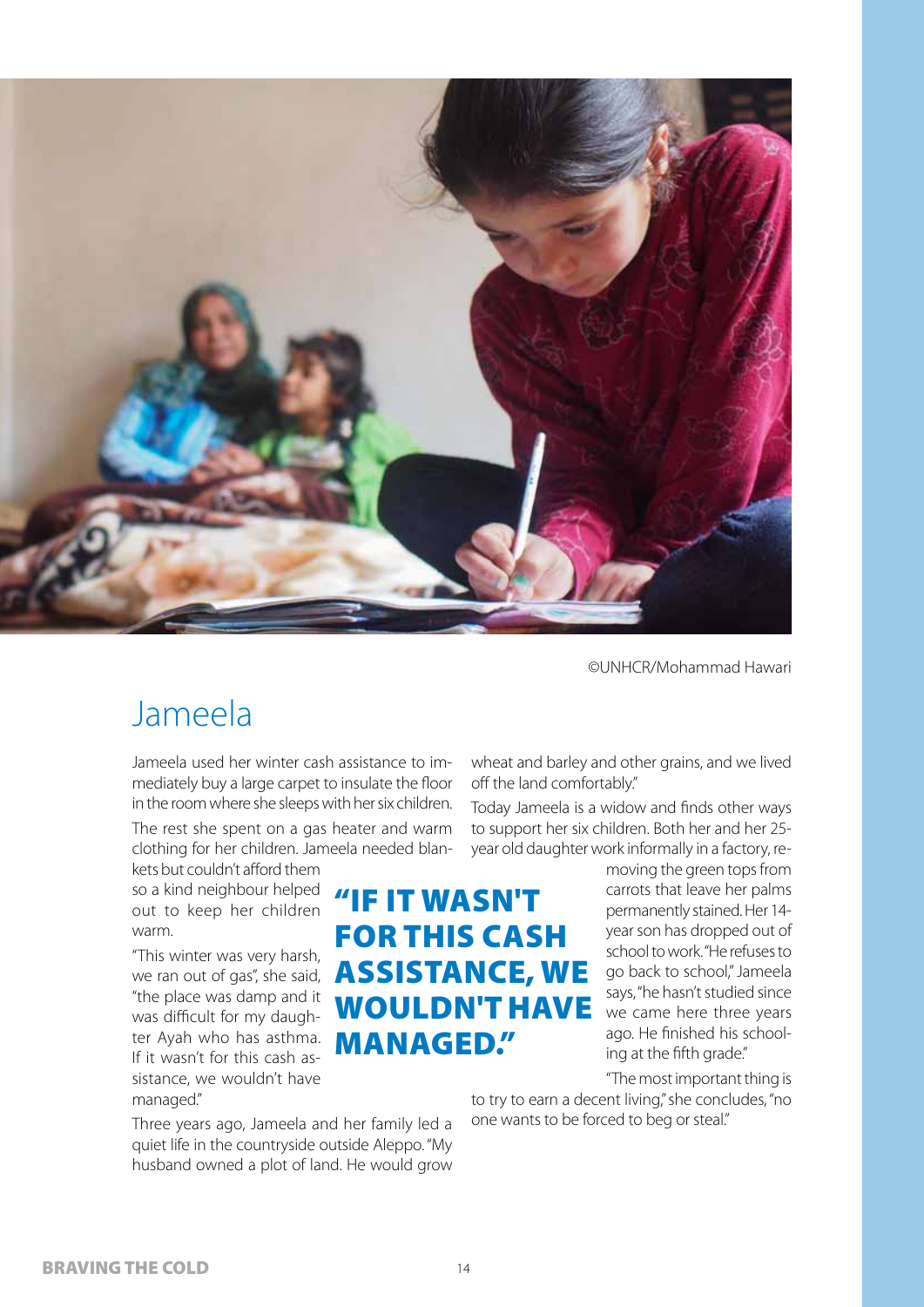![](_page_13_Picture_0.jpeg)

©UNHCR/Mohammad Hawari

### Jameela

Jameela used her winter cash assistance to immediately buy a large carpet to insulate the floor in the room where she sleeps with her six children.

The rest she spent on a gas heater and warm clothing for her children. Jameela needed blankets but couldn't afford them

so a kind neighbour helped out to keep her children warm.

"This winter was very harsh, we ran out of gas", she said, "the place was damp and it was difficult for my daughter Ayah who has asthma. If it wasn't for this cash assistance, we wouldn't have managed."

Three years ago, Jameela and her family led a quiet life in the countryside outside Aleppo. "My husband owned a plot of land. He would grow wheat and barley and other grains, and we lived off the land comfortably."

Today Jameela is a widow and finds other ways to support her six children. Both her and her 25 year old daughter work informally in a factory, re-

"if it wasn't for this cash assistance, we wouldn't have managed."

moving the green tops from carrots that leave her palms permanently stained. Her 14 year son has dropped out of school to work. "He refuses to go back to school," Jameela says, "he hasn't studied since we came here three years ago. He finished his schooling at the fifth grade."

"The most important thing is

to try to earn a decent living," she concludes, "no one wants to be forced to beg or steal."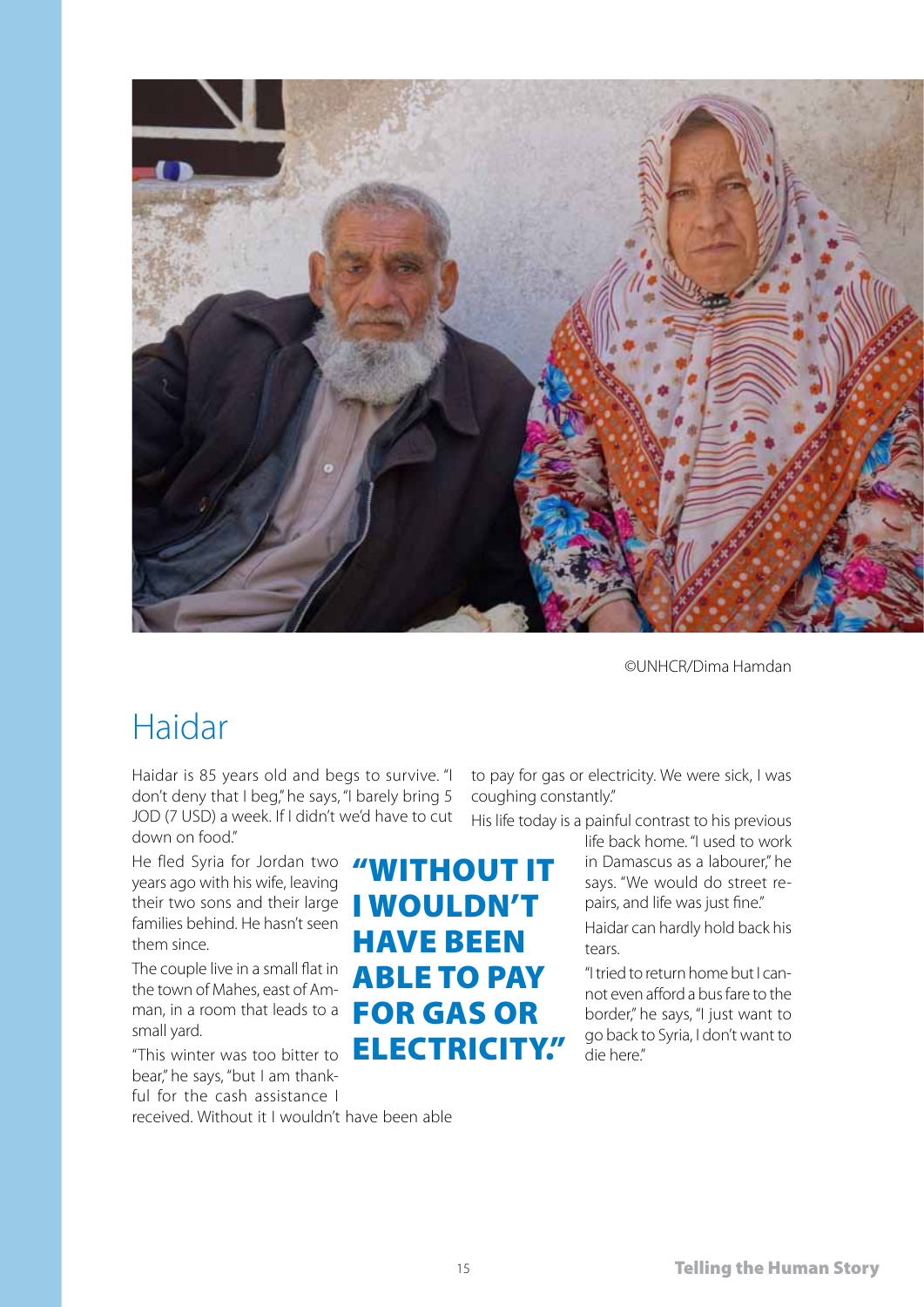![](_page_14_Picture_0.jpeg)

#### Haidar

Haidar is 85 years old and begs to survive. "I don't deny that I beg," he says, "I barely bring 5 JOD (7 USD) a week. If I didn't we'd have to cut down on food."

He fled Syria for Jordan two *"* WITHOUT IT"<br>vears ago with his wife, leaving years ago with his wife, leaving their two sons and their large families behind. He hasn't seen them since.

The couple live in a small flat in the town of Mahes, east of Amman, in a room that leads to a small yard.

"This winter was too bitter to bear," he says, "but I am thankful for the cash assistance I

received. Without it I wouldn't have been able

to pay for gas or electricity. We were sick, I was coughing constantly."

His life today is a painful contrast to his previous

life back home. "I used to work in Damascus as a labourer," he says. "We would do street repairs, and life was just fine."

Haidar can hardly hold back his tears.

"I tried to return home but I cannot even afford a bus fare to the border," he says, "I just want to go back to Syria, I don't want to die here."

**I WOULDN'T** 

**ABLE TO PAY** 

for gas or

electricity."

have been